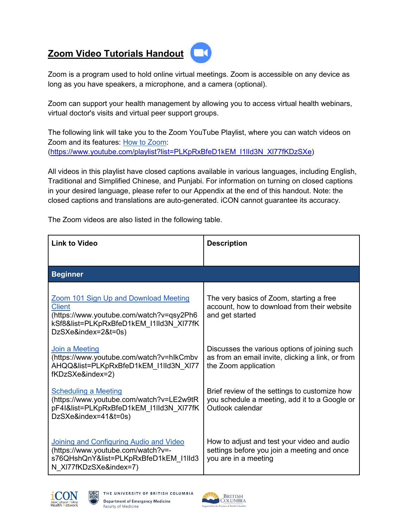## **Zoom Video Tutorials Handout**



Zoom is a program used to hold online virtual meetings. Zoom is accessible on any device as long as you have speakers, a microphone, and a camera (optional).

Zoom can support your health management by allowing you to access virtual health webinars, virtual doctor's visits and virtual peer support groups.

The following link will take you to the Zoom YouTube Playlist, where you can watch videos on Zoom and its features: [How to Zoom:](https://www.youtube.com/playlist?list=PLKpRxBfeD1kEM_I1lId3N_Xl77fKDzSXe) [\(https://www.youtube.com/playlist?list=PLKpRxBfeD1kEM\\_I1lId3N\\_Xl77fKDzSXe\)](https://www.youtube.com/playlist?list=PLKpRxBfeD1kEM_I1lId3N_Xl77fKDzSXe)

All videos in this playlist have closed captions available in various languages, including English, Traditional and Simplified Chinese, and Punjabi. For information on turning on closed captions in your desired language, please refer to our Appendix at the end of this handout. Note: the closed captions and translations are auto-generated. iCON cannot guarantee its accuracy.

The Zoom videos are also listed in the following table.

| <b>Link to Video</b>                                                                                                                                                        | <b>Description</b>                                                                                                         |  |
|-----------------------------------------------------------------------------------------------------------------------------------------------------------------------------|----------------------------------------------------------------------------------------------------------------------------|--|
|                                                                                                                                                                             |                                                                                                                            |  |
| <b>Beginner</b>                                                                                                                                                             |                                                                                                                            |  |
| <b>Zoom 101 Sign Up and Download Meeting</b><br><b>Client</b><br>(https://www.youtube.com/watch?v=qsy2Ph6<br>kSf8&list=PLKpRxBfeD1kEM I1IId3N XI77fK<br>DzSXe&index=2&t=0s) | The very basics of Zoom, starting a free<br>account, how to download from their website<br>and get started                 |  |
| <b>Join a Meeting</b><br>(https://www.youtube.com/watch?v=hlkCmbv<br>AHQQ&list=PLKpRxBfeD1kEM I1IId3N XI77<br>fKDzSXe&index=2)                                              | Discusses the various options of joining such<br>as from an email invite, clicking a link, or from<br>the Zoom application |  |
| <b>Scheduling a Meeting</b><br>(https://www.youtube.com/watch?v=LE2w9tR<br>pF4I&list=PLKpRxBfeD1kEM I1IId3N XI77fK<br>DzSXe&index=41&t=0s)                                  | Brief review of the settings to customize how<br>you schedule a meeting, add it to a Google or<br>Outlook calendar         |  |
| Joining and Configuring Audio and Video<br>(https://www.youtube.com/watch?v=-<br>s76QHshQnY&list=PLKpRxBfeD1kEM I1IId3<br>N XI77fKDzSXe&index=7)                            | How to adjust and test your video and audio<br>settings before you join a meeting and once<br>you are in a meeting         |  |



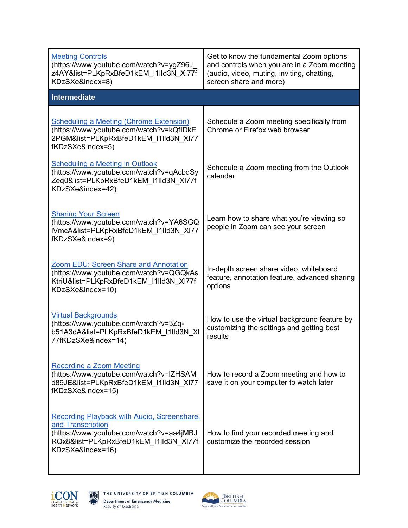| <b>Meeting Controls</b><br>(https://www.youtube.com/watch?v=ygZ96J<br>z4AY&list=PLKpRxBfeD1kEM I1IId3N XI77f<br>KDzSXe&index=8)                                                   | Get to know the fundamental Zoom options<br>and controls when you are in a Zoom meeting<br>(audio, video, muting, inviting, chatting,<br>screen share and more) |
|-----------------------------------------------------------------------------------------------------------------------------------------------------------------------------------|-----------------------------------------------------------------------------------------------------------------------------------------------------------------|
| Intermediate                                                                                                                                                                      |                                                                                                                                                                 |
| <b>Scheduling a Meeting (Chrome Extension)</b><br>(https://www.youtube.com/watch?v=kQfIDkE<br>2PGM&list=PLKpRxBfeD1kEM I1IId3N XI77<br>fKDzSXe&index=5)                           | Schedule a Zoom meeting specifically from<br>Chrome or Firefox web browser                                                                                      |
| <b>Scheduling a Meeting in Outlook</b><br>(https://www.youtube.com/watch?v=qAcbqSy<br>Zeq0&list=PLKpRxBfeD1kEM I1IId3N XI77f<br>KDzSXe&index=42)                                  | Schedule a Zoom meeting from the Outlook<br>calendar                                                                                                            |
| <b>Sharing Your Screen</b><br>(https://www.youtube.com/watch?v=YA6SGQ<br>IVmcA&list=PLKpRxBfeD1kEM I1IId3N XI77<br>fKDzSXe&index=9)                                               | Learn how to share what you're viewing so<br>people in Zoom can see your screen                                                                                 |
| <b>Zoom EDU: Screen Share and Annotation</b><br>(https://www.youtube.com/watch?v=QGQkAs<br>KtriU&list=PLKpRxBfeD1kEM I1IId3N XI77f<br>KDzSXe&index=10)                            | In-depth screen share video, whiteboard<br>feature, annotation feature, advanced sharing<br>options                                                             |
| <b>Virtual Backgrounds</b><br>(https://www.youtube.com/watch?v=3Zq-<br>b51A3dA&list=PLKpRxBfeD1kEM I1IId3N XI<br>77fKDzSXe&index=14)                                              | How to use the virtual background feature by<br>customizing the settings and getting best<br>results                                                            |
| <b>Recording a Zoom Meeting</b><br>(https://www.youtube.com/watch?v=IZHSAM<br>d89JE&list=PLKpRxBfeD1kEM I1IId3N XI77<br>fKDzSXe&index=15)                                         | How to record a Zoom meeting and how to<br>save it on your computer to watch later                                                                              |
| <b>Recording Playback with Audio, Screenshare,</b><br>and Transcription<br>(https://www.youtube.com/watch?v=aa4jMBJ<br>RQx8&list=PLKpRxBfeD1kEM I1IId3N XI77f<br>KDzSXe&index=16) | How to find your recorded meeting and<br>customize the recorded session                                                                                         |



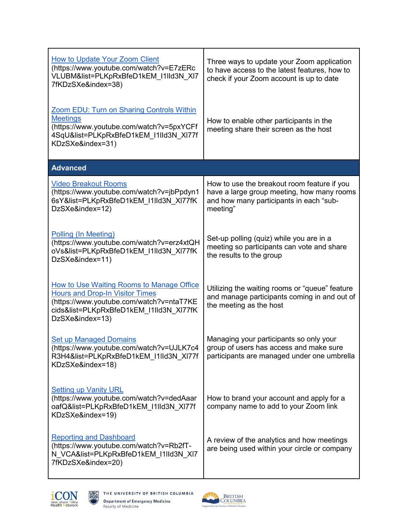| <b>How to Update Your Zoom Client</b><br>(https://www.youtube.com/watch?v=E7zERc<br>VLUBM&list=PLKpRxBfeD1kEM I1IId3N XI7<br>7fKDzSXe&index=38)                                               | Three ways to update your Zoom application<br>to have access to the latest features, how to<br>check if your Zoom account is up to date          |
|-----------------------------------------------------------------------------------------------------------------------------------------------------------------------------------------------|--------------------------------------------------------------------------------------------------------------------------------------------------|
| Zoom EDU: Turn on Sharing Controls Within<br><b>Meetings</b><br>(https://www.youtube.com/watch?v=5pxYCFf<br>4SqU&list=PLKpRxBfeD1kEM I1IId3N XI77f<br>KDzSXe&index=31)                        | How to enable other participants in the<br>meeting share their screen as the host                                                                |
| <b>Advanced</b>                                                                                                                                                                               |                                                                                                                                                  |
| <b>Video Breakout Rooms</b><br>(https://www.youtube.com/watch?v=jbPpdyn1<br>6sY&list=PLKpRxBfeD1kEM_I1lld3N_Xl77fK<br>DzSXe&index=12)                                                         | How to use the breakout room feature if you<br>have a large group meeting, how many rooms<br>and how many participants in each "sub-<br>meeting" |
| <b>Polling (In Meeting)</b><br>(https://www.youtube.com/watch?v=erz4xtQH<br>oVs&list=PLKpRxBfeD1kEM_I1lId3N_XI77fK<br>DzSXe&index=11)                                                         | Set-up polling (quiz) while you are in a<br>meeting so participants can vote and share<br>the results to the group                               |
| How to Use Waiting Rooms to Manage Office<br><b>Hours and Drop-In Visitor Times</b><br>(https://www.youtube.com/watch?v=ntaT7KE<br>cids&list=PLKpRxBfeD1kEM I1IId3N XI77fK<br>DzSXe&index=13) | Utilizing the waiting rooms or "queue" feature<br>and manage participants coming in and out of<br>the meeting as the host                        |
| <b>Set up Managed Domains</b><br>(https://www.youtube.com/watch?v=UJLK7c4<br>R3H4&list=PLKpRxBfeD1kEM I1IId3N XI77f<br>KDzSXe&index=18)                                                       | Managing your participants so only your<br>group of users has access and make sure<br>participants are managed under one umbrella                |
| <b>Setting up Vanity URL</b><br>(https://www.youtube.com/watch?v=dedAaar<br>oafQ&list=PLKpRxBfeD1kEM I1IId3N XI77f<br>KDzSXe&index=19)                                                        | How to brand your account and apply for a<br>company name to add to your Zoom link                                                               |
| <b>Reporting and Dashboard</b><br>(https://www.youtube.com/watch?v=Rb2fT-<br>N VCA&list=PLKpRxBfeD1kEM I1IId3N XI7<br>7fKDzSXe&index=20)                                                      | A review of the analytics and how meetings<br>are being used within your circle or company                                                       |



鬻

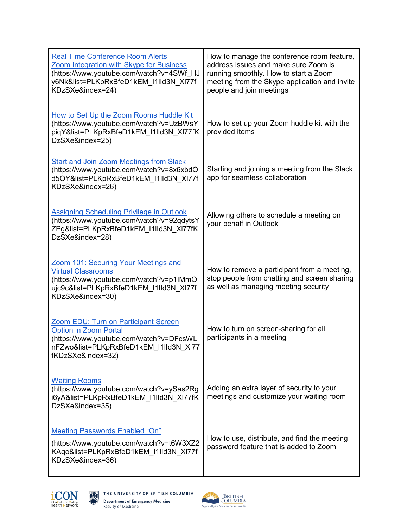| <b>Real Time Conference Room Alerts</b><br><b>Zoom Integration with Skype for Business</b><br>(https://www.youtube.com/watch?v=4SWf HJ<br>y6Nk&list=PLKpRxBfeD1kEM I1IId3N XI77f<br>KDzSXe&index=24) | How to manage the conference room feature,<br>address issues and make sure Zoom is<br>running smoothly. How to start a Zoom<br>meeting from the Skype application and invite<br>people and join meetings |
|------------------------------------------------------------------------------------------------------------------------------------------------------------------------------------------------------|----------------------------------------------------------------------------------------------------------------------------------------------------------------------------------------------------------|
| How to Set Up the Zoom Rooms Huddle Kit<br>(https://www.youtube.com/watch?v=UzBWsYI<br>piqY&list=PLKpRxBfeD1kEM I1IId3N XI77fK<br>DzSXe&index=25)                                                    | How to set up your Zoom huddle kit with the<br>provided items                                                                                                                                            |
| <b>Start and Join Zoom Meetings from Slack</b><br>(https://www.youtube.com/watch?v=8x6xbdO<br>d5OY&list=PLKpRxBfeD1kEM I1IId3N XI77f<br>KDzSXe&index=26)                                             | Starting and joining a meeting from the Slack<br>app for seamless collaboration                                                                                                                          |
| <b>Assigning Scheduling Privilege in Outlook</b><br>(https://www.youtube.com/watch?v=92qdytsY<br>ZPg&list=PLKpRxBfeD1kEM I1IId3N XI77fK<br>DzSXe&index=28)                                           | Allowing others to schedule a meeting on<br>your behalf in Outlook                                                                                                                                       |
| Zoom 101: Securing Your Meetings and<br><b>Virtual Classrooms</b><br>(https://www.youtube.com/watch?v=p1IMmO<br>ujc9c&list=PLKpRxBfeD1kEM I1IId3N XI77f<br>KDzSXe&index=30)                          | How to remove a participant from a meeting,<br>stop people from chatting and screen sharing<br>as well as managing meeting security                                                                      |
| <b>Zoom EDU: Turn on Participant Screen</b><br><b>Option in Zoom Portal</b><br>(https://www.youtube.com/watch?v=DFcsWL<br>nFZwo&list=PLKpRxBfeD1kEM_I1lId3N_XI77<br>fKDzSXe&index=32)                | How to turn on screen-sharing for all<br>participants in a meeting                                                                                                                                       |
| <b>Waiting Rooms</b><br>(https://www.youtube.com/watch?v=ySas2Rg<br>i6yA&list=PLKpRxBfeD1kEM_I1lId3N_XI77fK<br>DzSXe&index=35)                                                                       | Adding an extra layer of security to your<br>meetings and customize your waiting room                                                                                                                    |
| <b>Meeting Passwords Enabled "On"</b><br>(https://www.youtube.com/watch?v=t6W3XZ2<br>KAqo&list=PLKpRxBfeD1kEM I1IId3N XI77f<br>KDzSXe&index=36)                                                      | How to use, distribute, and find the meeting<br>password feature that is added to Zoom                                                                                                                   |



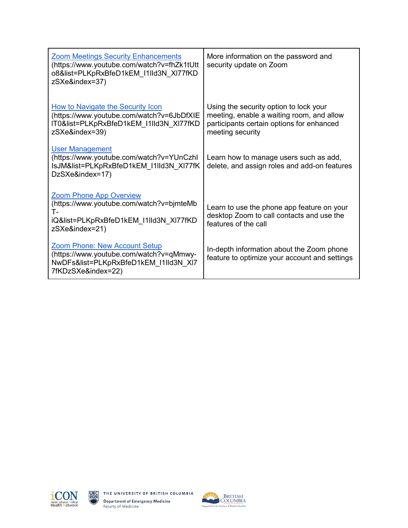| <b>Zoom Meetings Security Enhancements</b><br>(https://www.youtube.com/watch?v=fhZk1tUtt<br>o8&list=PLKpRxBfeD1kEM I1IId3N XI77fKD<br>zSXe&index=37) | More information on the password and<br>security update on Zoom                                                                                      |
|------------------------------------------------------------------------------------------------------------------------------------------------------|------------------------------------------------------------------------------------------------------------------------------------------------------|
| How to Navigate the Security Icon<br>(https://www.youtube.com/watch?v=6JbDfXIE<br>IT0&list=PLKpRxBfeD1kEM I1IId3N XI77fKD<br>zSXe&index=39)          | Using the security option to lock your<br>meeting, enable a waiting room, and allow<br>participants certain options for enhanced<br>meeting security |
| <b>User Management</b><br>(https://www.youtube.com/watch?v=YUnCzhl<br>IsJM&list=PLKpRxBfeD1kEM I1IId3N XI77fK<br>DzSXe&index=17)                     | Learn how to manage users such as add,<br>delete, and assign roles and add-on features                                                               |
| <b>Zoom Phone App Overview</b><br>(https://www.youtube.com/watch?v=bjmteMb<br>т.<br>iQ&list=PLKpRxBfeD1kEM I1IId3N XI77fKD<br>zSXe&index=21)         | Learn to use the phone app feature on your<br>desktop Zoom to call contacts and use the<br>features of the call                                      |
| <b>Zoom Phone: New Account Setup</b><br>(https://www.youtube.com/watch?v=qMmwy-<br>NwDFs&list=PLKpRxBfeD1kEM I1IId3N XI7<br>7fKDzSXe&index=22)       | In-depth information about the Zoom phone<br>feature to optimize your account and settings                                                           |





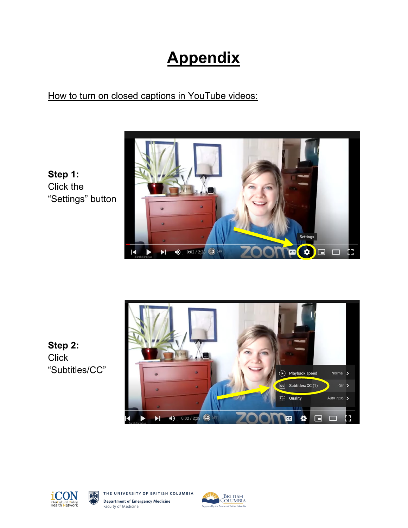## **Appendix**

## How to turn on closed captions in YouTube videos:

**Settings**  $\mathbf{a}$  $\bullet$  0:02 / 2:23  $\Box$   $\Box$   $\Box$ K  $\blacktriangleright$ नन

**Step 1:**  Click the "Settings" button

**Step 2: Click** "Subtitles/CC"